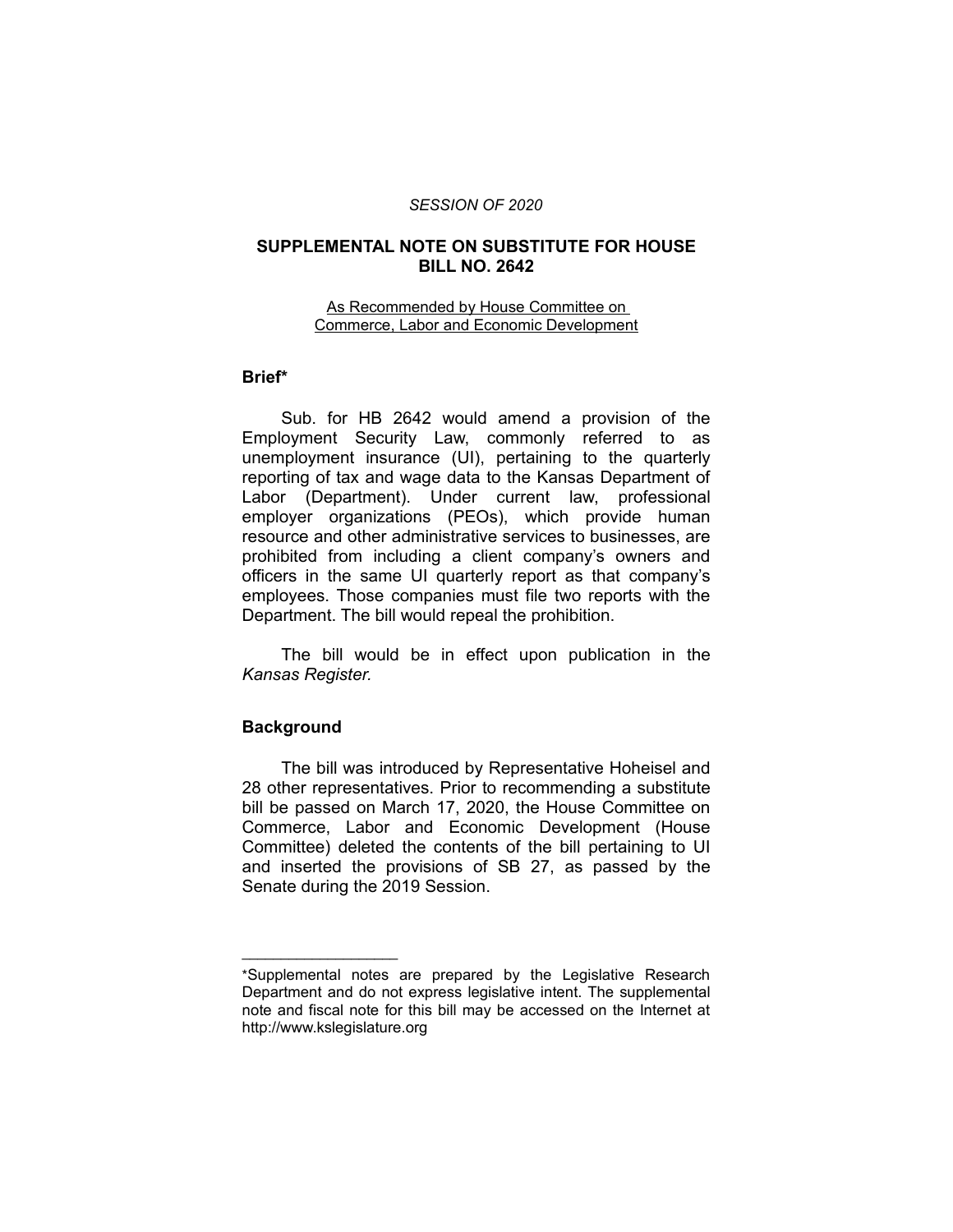#### *SESSION OF 2020*

# **SUPPLEMENTAL NOTE ON SUBSTITUTE FOR HOUSE BILL NO. 2642**

#### As Recommended by House Committee on Commerce, Labor and Economic Development

# **Brief\***

Sub. for HB 2642 would amend a provision of the Employment Security Law, commonly referred to as unemployment insurance (UI), pertaining to the quarterly reporting of tax and wage data to the Kansas Department of Labor (Department). Under current law, professional employer organizations (PEOs), which provide human resource and other administrative services to businesses, are prohibited from including a client company's owners and officers in the same UI quarterly report as that company's employees. Those companies must file two reports with the Department. The bill would repeal the prohibition.

The bill would be in effect upon publication in the *Kansas Register.*

#### **Background**

 $\overline{\phantom{a}}$  , where  $\overline{\phantom{a}}$  , where  $\overline{\phantom{a}}$ 

The bill was introduced by Representative Hoheisel and 28 other representatives. Prior to recommending a substitute bill be passed on March 17, 2020, the House Committee on Commerce, Labor and Economic Development (House Committee) deleted the contents of the bill pertaining to UI and inserted the provisions of SB 27, as passed by the Senate during the 2019 Session.

<sup>\*</sup>Supplemental notes are prepared by the Legislative Research Department and do not express legislative intent. The supplemental note and fiscal note for this bill may be accessed on the Internet at http://www.kslegislature.org